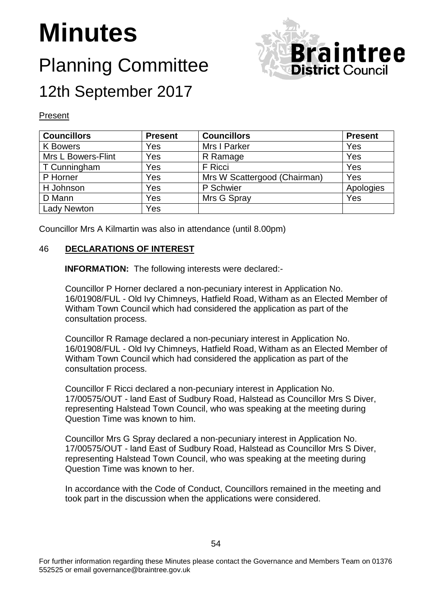# **Minutes**

# Planning Committee 12th September 2017



#### Present

| <b>Councillors</b>        | <b>Present</b> | <b>Councillors</b>           | <b>Present</b> |
|---------------------------|----------------|------------------------------|----------------|
| <b>K</b> Bowers           | Yes            | Mrs I Parker                 | Yes            |
| <b>Mrs L Bowers-Flint</b> | Yes            | R Ramage                     | Yes            |
| T Cunningham              | Yes            | F Ricci                      | Yes            |
| P Horner                  | Yes            | Mrs W Scattergood (Chairman) | Yes            |
| H Johnson                 | Yes            | P Schwier                    | Apologies      |
| D Mann                    | Yes            | Mrs G Spray                  | Yes            |
| <b>Lady Newton</b>        | Yes            |                              |                |

Councillor Mrs A Kilmartin was also in attendance (until 8.00pm)

#### 46 **DECLARATIONS OF INTEREST**

**INFORMATION:** The following interests were declared:-

Councillor P Horner declared a non-pecuniary interest in Application No. 16/01908/FUL - Old Ivy Chimneys, Hatfield Road, Witham as an Elected Member of Witham Town Council which had considered the application as part of the consultation process.

Councillor R Ramage declared a non-pecuniary interest in Application No. 16/01908/FUL - Old Ivy Chimneys, Hatfield Road, Witham as an Elected Member of Witham Town Council which had considered the application as part of the consultation process.

Councillor F Ricci declared a non-pecuniary interest in Application No. 17/00575/OUT - land East of Sudbury Road, Halstead as Councillor Mrs S Diver, representing Halstead Town Council, who was speaking at the meeting during Question Time was known to him.

Councillor Mrs G Spray declared a non-pecuniary interest in Application No. 17/00575/OUT - land East of Sudbury Road, Halstead as Councillor Mrs S Diver, representing Halstead Town Council, who was speaking at the meeting during Question Time was known to her.

In accordance with the Code of Conduct, Councillors remained in the meeting and took part in the discussion when the applications were considered.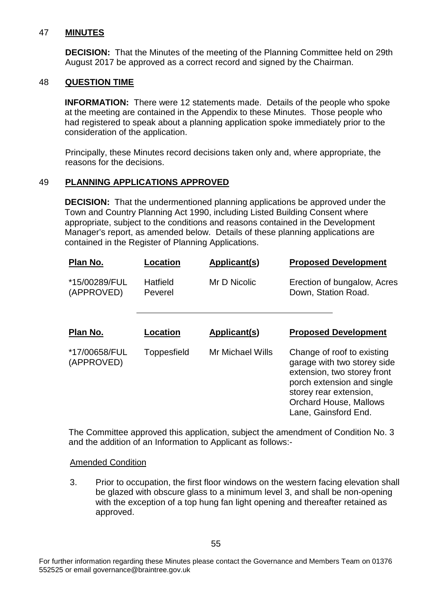#### 47 **MINUTES**

**DECISION:** That the Minutes of the meeting of the Planning Committee held on 29th August 2017 be approved as a correct record and signed by the Chairman.

#### 48 **QUESTION TIME**

**INFORMATION:** There were 12 statements made. Details of the people who spoke at the meeting are contained in the Appendix to these Minutes. Those people who had registered to speak about a planning application spoke immediately prior to the consideration of the application.

Principally, these Minutes record decisions taken only and, where appropriate, the reasons for the decisions.

#### 49 **PLANNING APPLICATIONS APPROVED**

**DECISION:** That the undermentioned planning applications be approved under the Town and Country Planning Act 1990, including Listed Building Consent where appropriate, subject to the conditions and reasons contained in the Development Manager's report, as amended below. Details of these planning applications are contained in the Register of Planning Applications.

| Plan No.                    | Location            | Applicant(s)     | <b>Proposed Development</b>                                                                                                                                                                               |
|-----------------------------|---------------------|------------------|-----------------------------------------------------------------------------------------------------------------------------------------------------------------------------------------------------------|
| *15/00289/FUL<br>(APPROVED) | Hatfield<br>Peverel | Mr D Nicolic     | Erection of bungalow, Acres<br>Down, Station Road.                                                                                                                                                        |
| Plan No.                    | <b>Location</b>     | Applicant(s)     | <b>Proposed Development</b>                                                                                                                                                                               |
| *17/00658/FUL<br>(APPROVED) | Toppesfield         | Mr Michael Wills | Change of roof to existing<br>garage with two storey side<br>extension, two storey front<br>porch extension and single<br>storey rear extension,<br><b>Orchard House, Mallows</b><br>Lane, Gainsford End. |

The Committee approved this application, subject the amendment of Condition No. 3 and the addition of an Information to Applicant as follows:-

#### Amended Condition

3. Prior to occupation, the first floor windows on the western facing elevation shall be glazed with obscure glass to a minimum level 3, and shall be non-opening with the exception of a top hung fan light opening and thereafter retained as approved.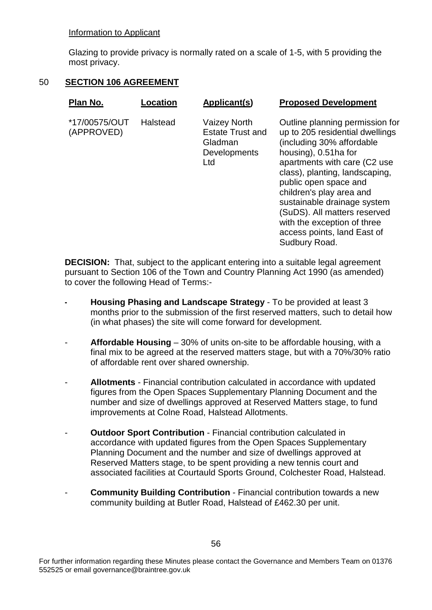#### Information to Applicant

Glazing to provide privacy is normally rated on a scale of 1-5, with 5 providing the most privacy.

#### 50 **SECTION 106 AGREEMENT**

| Plan No.                    | Location | Applicant(s)                                                                     | <b>Proposed Development</b>                                                                                                                                                                                                                                                                                                                                                                  |
|-----------------------------|----------|----------------------------------------------------------------------------------|----------------------------------------------------------------------------------------------------------------------------------------------------------------------------------------------------------------------------------------------------------------------------------------------------------------------------------------------------------------------------------------------|
| *17/00575/OUT<br>(APPROVED) | Halstead | <b>Vaizey North</b><br><b>Estate Trust and</b><br>Gladman<br>Developments<br>Ltd | Outline planning permission for<br>up to 205 residential dwellings<br>(including 30% affordable<br>housing), 0.51ha for<br>apartments with care (C2 use<br>class), planting, landscaping,<br>public open space and<br>children's play area and<br>sustainable drainage system<br>(SuDS). All matters reserved<br>with the exception of three<br>access points, land East of<br>Sudbury Road. |

**DECISION:** That, subject to the applicant entering into a suitable legal agreement pursuant to Section 106 of the Town and Country Planning Act 1990 (as amended) to cover the following Head of Terms:-

- **- Housing Phasing and Landscape Strategy** To be provided at least 3 months prior to the submission of the first reserved matters, such to detail how (in what phases) the site will come forward for development.
- **Affordable Housing**  30% of units on-site to be affordable housing, with a final mix to be agreed at the reserved matters stage, but with a 70%/30% ratio of affordable rent over shared ownership.
- **Allotments**  Financial contribution calculated in accordance with updated figures from the Open Spaces Supplementary Planning Document and the number and size of dwellings approved at Reserved Matters stage, to fund improvements at Colne Road, Halstead Allotments.
- **Outdoor Sport Contribution** Financial contribution calculated in accordance with updated figures from the Open Spaces Supplementary Planning Document and the number and size of dwellings approved at Reserved Matters stage, to be spent providing a new tennis court and associated facilities at Courtauld Sports Ground, Colchester Road, Halstead.
- **Community Building Contribution** Financial contribution towards a new community building at Butler Road, Halstead of £462.30 per unit.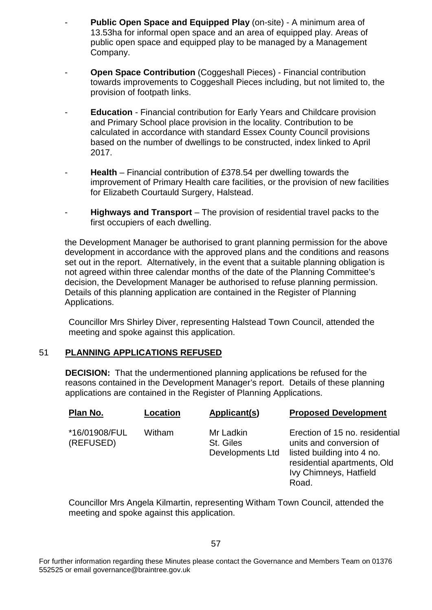- **Public Open Space and Equipped Play** (on-site) A minimum area of 13.53ha for informal open space and an area of equipped play. Areas of public open space and equipped play to be managed by a Management Company.
- **Open Space Contribution** (Coggeshall Pieces) Financial contribution towards improvements to Coggeshall Pieces including, but not limited to, the provision of footpath links.
- **Education**  Financial contribution for Early Years and Childcare provision and Primary School place provision in the locality. Contribution to be calculated in accordance with standard Essex County Council provisions based on the number of dwellings to be constructed, index linked to April 2017.
- **Health**  Financial contribution of £378.54 per dwelling towards the improvement of Primary Health care facilities, or the provision of new facilities for Elizabeth Courtauld Surgery, Halstead.
- **Highways and Transport** The provision of residential travel packs to the first occupiers of each dwelling.

the Development Manager be authorised to grant planning permission for the above development in accordance with the approved plans and the conditions and reasons set out in the report. Alternatively, in the event that a suitable planning obligation is not agreed within three calendar months of the date of the Planning Committee's decision, the Development Manager be authorised to refuse planning permission. Details of this planning application are contained in the Register of Planning Applications.

Councillor Mrs Shirley Diver, representing Halstead Town Council, attended the meeting and spoke against this application.

#### 51 **PLANNING APPLICATIONS REFUSED**

**DECISION:** That the undermentioned planning applications be refused for the reasons contained in the Development Manager's report. Details of these planning applications are contained in the Register of Planning Applications.

| Plan No.                   | Location | Applicant(s)                               | <b>Proposed Development</b>                                                                                                                               |
|----------------------------|----------|--------------------------------------------|-----------------------------------------------------------------------------------------------------------------------------------------------------------|
| *16/01908/FUL<br>(REFUSED) | Witham   | Mr Ladkin<br>St. Giles<br>Developments Ltd | Erection of 15 no. residential<br>units and conversion of<br>listed building into 4 no.<br>residential apartments, Old<br>Ivy Chimneys, Hatfield<br>Road. |

Councillor Mrs Angela Kilmartin, representing Witham Town Council, attended the meeting and spoke against this application.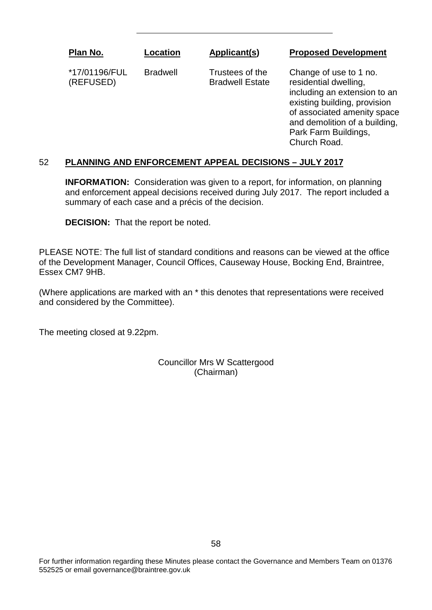**Plan No.**

**Location**

Bradwell

#### **Applicant(s)**

**Proposed Development**

\*17/01196/FUL (REFUSED)

Trustees of the Bradwell Estate Change of use to 1 no. residential dwelling, including an extension to an existing building, provision of associated amenity space and demolition of a building, Park Farm Buildings, Church Road.

# 52 **PLANNING AND ENFORCEMENT APPEAL DECISIONS – JULY 2017**

**INFORMATION:** Consideration was given to a report, for information, on planning and enforcement appeal decisions received during July 2017. The report included a summary of each case and a précis of the decision.

**DECISION:** That the report be noted.

PLEASE NOTE: The full list of standard conditions and reasons can be viewed at the office of the Development Manager, Council Offices, Causeway House, Bocking End, Braintree, Essex CM7 9HB.

(Where applications are marked with an \* this denotes that representations were received and considered by the Committee).

The meeting closed at 9.22pm.

Councillor Mrs W Scattergood (Chairman)

For further information regarding these Minutes please contact the Governance and Members Team on 01376 552525 or email governance@braintree.gov.uk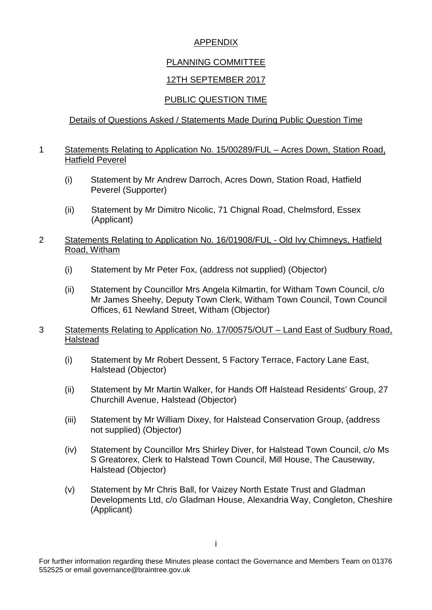# APPENDIX

# PLANNING COMMITTEE

# 12TH SEPTEMBER 2017

# PUBLIC QUESTION TIME

# Details of Questions Asked / Statements Made During Public Question Time

#### 1 Statements Relating to Application No. 15/00289/FUL – Acres Down, Station Road, Hatfield Peverel

- (i) Statement by Mr Andrew Darroch, Acres Down, Station Road, Hatfield Peverel (Supporter)
- (ii) Statement by Mr Dimitro Nicolic, 71 Chignal Road, Chelmsford, Essex (Applicant)
- 2 Statements Relating to Application No. 16/01908/FUL Old Ivy Chimneys, Hatfield Road, Witham
	- (i) Statement by Mr Peter Fox, (address not supplied) (Objector)
	- (ii) Statement by Councillor Mrs Angela Kilmartin, for Witham Town Council, c/o Mr James Sheehy, Deputy Town Clerk, Witham Town Council, Town Council Offices, 61 Newland Street, Witham (Objector)
- 3 Statements Relating to Application No. 17/00575/OUT Land East of Sudbury Road, Halstead
	- (i) Statement by Mr Robert Dessent, 5 Factory Terrace, Factory Lane East, Halstead (Objector)
	- (ii) Statement by Mr Martin Walker, for Hands Off Halstead Residents' Group, 27 Churchill Avenue, Halstead (Objector)
	- (iii) Statement by Mr William Dixey, for Halstead Conservation Group, (address not supplied) (Objector)
	- (iv) Statement by Councillor Mrs Shirley Diver, for Halstead Town Council, c/o Ms S Greatorex, Clerk to Halstead Town Council, Mill House, The Causeway, Halstead (Objector)
	- (v) Statement by Mr Chris Ball, for Vaizey North Estate Trust and Gladman Developments Ltd, c/o Gladman House, Alexandria Way, Congleton, Cheshire (Applicant)